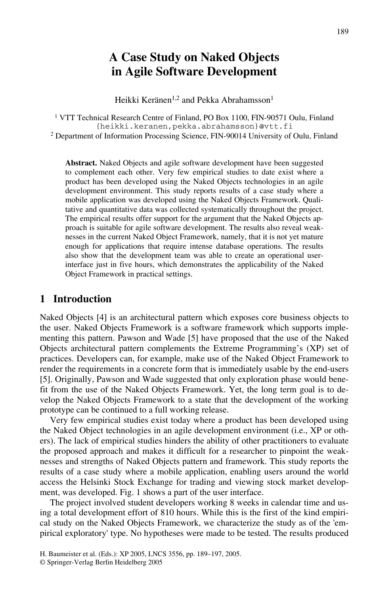# **A Case Study on Naked Objects in Agile Software Development**

Heikki Keränen<sup>1,2</sup> and Pekka Abrahamsson<sup>1</sup>

<sup>1</sup> VTT Technical Research Centre of Finland, PO Box 1100, FIN-90571 Oulu, Finland {heikki.keranen,pekka.abrahamsson}@vtt.fi 2 Department of Information Processing Science, FIN-90014 University of Oulu, Finland

**Abstract.** Naked Objects and agile software development have been suggested to complement each other. Very few empirical studies to date exist where a product has been developed using the Naked Objects technologies in an agile development environment. This study reports results of a case study where a mobile application was developed using the Naked Objects Framework. Qualitative and quantitative data was collected systematically throughout the project. The empirical results offer support for the argument that the Naked Objects approach is suitable for agile software development. The results also reveal weaknesses in the current Naked Object Framework, namely, that it is not yet mature enough for applications that require intense database operations. The results also show that the development team was able to create an operational userinterface just in five hours, which demonstrates the applicability of the Naked Object Framework in practical settings.

### **1 Introduction**

Naked Objects [4] is an architectural pattern which exposes core business objects to the user. Naked Objects Framework is a software framework which supports implementing this pattern. Pawson and Wade [5] have proposed that the use of the Naked Objects architectural pattern complements the Extreme Programming's (XP) set of practices. Developers can, for example, make use of the Naked Object Framework to render the requirements in a concrete form that is immediately usable by the end-users [5]. Originally, Pawson and Wade suggested that only exploration phase would benefit from the use of the Naked Objects Framework. Yet, the long term goal is to develop the Naked Objects Framework to a state that the development of the working prototype can be continued to a full working release.

Very few empirical studies exist today where a product has been developed using the Naked Object technologies in an agile development environment (i.e., XP or others). The lack of empirical studies hinders the ability of other practitioners to evaluate the proposed approach and makes it difficult for a researcher to pinpoint the weaknesses and strengths of Naked Objects pattern and framework. This study reports the results of a case study where a mobile application, enabling users around the world access the Helsinki Stock Exchange for trading and viewing stock market development, was developed. Fig. 1 shows a part of the user interface.

The project involved student developers working 8 weeks in calendar time and using a total development effort of 810 hours. While this is the first of the kind empirical study on the Naked Objects Framework, we characterize the study as of the 'empirical exploratory' type. No hypotheses were made to be tested. The results produced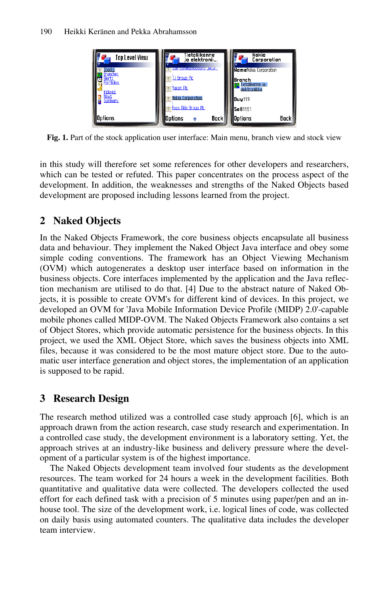

**Fig. 1.** Part of the stock application user interface: Main menu, branch view and stock view

in this study will therefore set some references for other developers and researchers, which can be tested or refuted. This paper concentrates on the process aspect of the development. In addition, the weaknesses and strengths of the Naked Objects based development are proposed including lessons learned from the project.

## **2 Naked Objects**

In the Naked Objects Framework, the core business objects encapsulate all business data and behaviour. They implement the Naked Object Java interface and obey some simple coding conventions. The framework has an Object Viewing Mechanism (OVM) which autogenerates a desktop user interface based on information in the business objects. Core interfaces implemented by the application and the Java reflection mechanism are utilised to do that. [4] Due to the abstract nature of Naked Objects, it is possible to create OVM's for different kind of devices. In this project, we developed an OVM for 'Java Mobile Information Device Profile (MIDP) 2.0'-capable mobile phones called MIDP-OVM. The Naked Objects Framework also contains a set of Object Stores, which provide automatic persistence for the business objects. In this project, we used the XML Object Store, which saves the business objects into XML files, because it was considered to be the most mature object store. Due to the automatic user interface generation and object stores, the implementation of an application is supposed to be rapid.

## **3 Research Design**

The research method utilized was a controlled case study approach [6], which is an approach drawn from the action research, case study research and experimentation. In a controlled case study, the development environment is a laboratory setting. Yet, the approach strives at an industry-like business and delivery pressure where the development of a particular system is of the highest importance.

The Naked Objects development team involved four students as the development resources. The team worked for 24 hours a week in the development facilities. Both quantitative and qualitative data were collected. The developers collected the used effort for each defined task with a precision of 5 minutes using paper/pen and an inhouse tool. The size of the development work, i.e. logical lines of code, was collected on daily basis using automated counters. The qualitative data includes the developer team interview.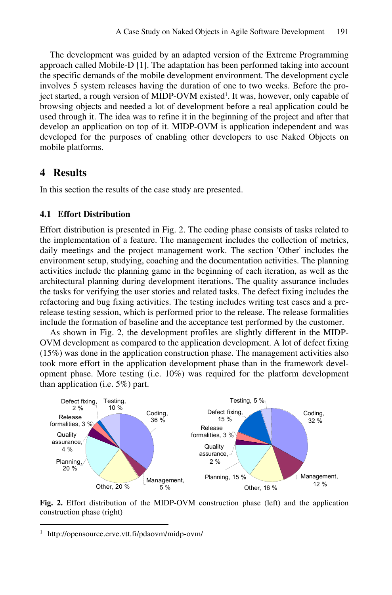The development was guided by an adapted version of the Extreme Programming approach called Mobile-D [1]. The adaptation has been performed taking into account the specific demands of the mobile development environment. The development cycle involves 5 system releases having the duration of one to two weeks. Before the project started, a rough version of MIDP-OVM existed<sup>1</sup>. It was, however, only capable of browsing objects and needed a lot of development before a real application could be used through it. The idea was to refine it in the beginning of the project and after that develop an application on top of it. MIDP-OVM is application independent and was developed for the purposes of enabling other developers to use Naked Objects on mobile platforms.

## **4 Results**

In this section the results of the case study are presented.

#### **4.1 Effort Distribution**

Effort distribution is presented in Fig. 2. The coding phase consists of tasks related to the implementation of a feature. The management includes the collection of metrics, daily meetings and the project management work. The section 'Other' includes the environment setup, studying, coaching and the documentation activities. The planning activities include the planning game in the beginning of each iteration, as well as the architectural planning during development iterations. The quality assurance includes the tasks for verifying the user stories and related tasks. The defect fixing includes the refactoring and bug fixing activities. The testing includes writing test cases and a prerelease testing session, which is performed prior to the release. The release formalities include the formation of baseline and the acceptance test performed by the customer.

As shown in Fig. 2, the development profiles are slightly different in the MIDP-OVM development as compared to the application development. A lot of defect fixing (15%) was done in the application construction phase. The management activities also took more effort in the application development phase than in the framework development phase. More testing (i.e. 10%) was required for the platform development than application (i.e. 5%) part.



**Fig. 2.** Effort distribution of the MIDP-OVM construction phase (left) and the application construction phase (right)

 $\overline{a}$ 

<sup>1</sup> http://opensource.erve.vtt.fi/pdaovm/midp-ovm/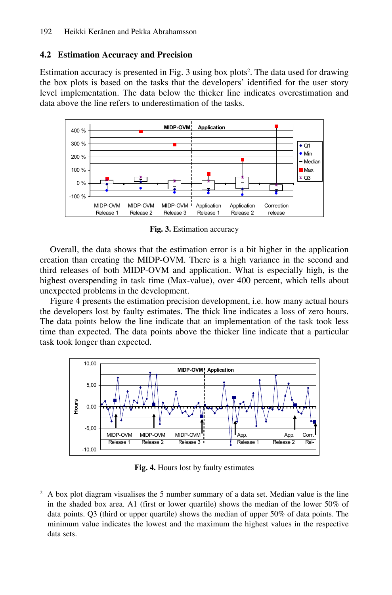#### **4.2 Estimation Accuracy and Precision**

Estimation accuracy is presented in Fig. 3 using box plots2. The data used for drawing the box plots is based on the tasks that the developers' identified for the user story level implementation. The data below the thicker line indicates overestimation and data above the line refers to underestimation of the tasks.



**Fig. 3.** Estimation accuracy

Overall, the data shows that the estimation error is a bit higher in the application creation than creating the MIDP-OVM. There is a high variance in the second and third releases of both MIDP-OVM and application. What is especially high, is the highest overspending in task time (Max-value), over 400 percent, which tells about unexpected problems in the development.

Figure 4 presents the estimation precision development, i.e. how many actual hours the developers lost by faulty estimates. The thick line indicates a loss of zero hours. The data points below the line indicate that an implementation of the task took less time than expected. The data points above the thicker line indicate that a particular task took longer than expected.



**Fig. 4.** Hours lost by faulty estimates

 $\overline{\phantom{a}}$ 

 $2$  A box plot diagram visualises the 5 number summary of a data set. Median value is the line in the shaded box area. A1 (first or lower quartile) shows the median of the lower 50% of data points. Q3 (third or upper quartile) shows the median of upper 50% of data points. The minimum value indicates the lowest and the maximum the highest values in the respective data sets.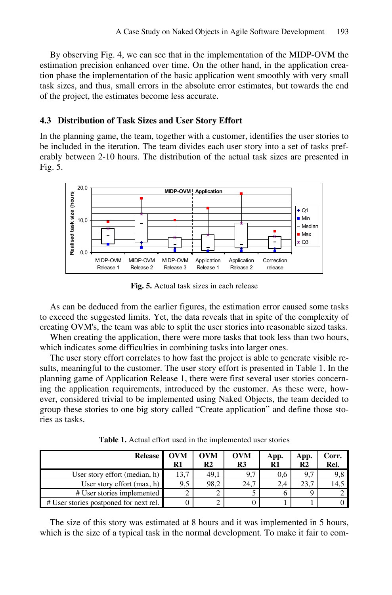By observing Fig. 4, we can see that in the implementation of the MIDP-OVM the estimation precision enhanced over time. On the other hand, in the application creation phase the implementation of the basic application went smoothly with very small task sizes, and thus, small errors in the absolute error estimates, but towards the end of the project, the estimates become less accurate.

#### **4.3 Distribution of Task Sizes and User Story Effort**

In the planning game, the team, together with a customer, identifies the user stories to be included in the iteration. The team divides each user story into a set of tasks preferably between 2-10 hours. The distribution of the actual task sizes are presented in Fig. 5.



**Fig. 5.** Actual task sizes in each release

As can be deduced from the earlier figures, the estimation error caused some tasks to exceed the suggested limits. Yet, the data reveals that in spite of the complexity of creating OVM's, the team was able to split the user stories into reasonable sized tasks.

When creating the application, there were more tasks that took less than two hours, which indicates some difficulties in combining tasks into larger ones.

The user story effort correlates to how fast the project is able to generate visible results, meaningful to the customer. The user story effort is presented in Table 1. In the planning game of Application Release 1, there were first several user stories concerning the application requirements, introduced by the customer. As these were, however, considered trivial to be implemented using Naked Objects, the team decided to group these stories to one big story called "Create application" and define those stories as tasks.

| <b>Release</b>                         | <b>OVM</b><br>R1 | <b>OVM</b><br>R <sub>2</sub> | <b>OVM</b><br>R <sub>3</sub> | App.<br>$_{\rm R1}$ | App.<br>R <sub>2</sub> | Corr.<br>Rel. |
|----------------------------------------|------------------|------------------------------|------------------------------|---------------------|------------------------|---------------|
| User story effort (median, h)          | 13,7             | 49.1                         | 9.7                          | 0.6                 | 9.7                    | 9,8           |
| User story effort $(max, h)$           | 9.5              | 98,2                         | 24.7                         | 2.4                 | 23,7                   | 14,5          |
| # User stories implemented             |                  |                              |                              |                     |                        |               |
| # User stories postponed for next rel. |                  |                              |                              |                     |                        |               |

**Table 1.** Actual effort used in the implemented user stories

The size of this story was estimated at 8 hours and it was implemented in 5 hours, which is the size of a typical task in the normal development. To make it fair to com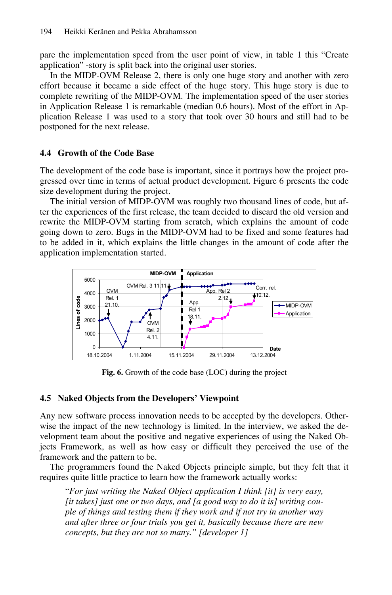pare the implementation speed from the user point of view, in table 1 this "Create application" -story is split back into the original user stories.

In the MIDP-OVM Release 2, there is only one huge story and another with zero effort because it became a side effect of the huge story. This huge story is due to complete rewriting of the MIDP-OVM. The implementation speed of the user stories in Application Release 1 is remarkable (median 0.6 hours). Most of the effort in Application Release 1 was used to a story that took over 30 hours and still had to be postponed for the next release.

## **4.4 Growth of the Code Base**

The development of the code base is important, since it portrays how the project progressed over time in terms of actual product development. Figure 6 presents the code size development during the project.

The initial version of MIDP-OVM was roughly two thousand lines of code, but after the experiences of the first release, the team decided to discard the old version and rewrite the MIDP-OVM starting from scratch, which explains the amount of code going down to zero. Bugs in the MIDP-OVM had to be fixed and some features had to be added in it, which explains the little changes in the amount of code after the application implementation started.



**Fig. 6.** Growth of the code base (LOC) during the project

### **4.5 Naked Objects from the Developers' Viewpoint**

Any new software process innovation needs to be accepted by the developers. Otherwise the impact of the new technology is limited. In the interview, we asked the development team about the positive and negative experiences of using the Naked Objects Framework, as well as how easy or difficult they perceived the use of the framework and the pattern to be.

The programmers found the Naked Objects principle simple, but they felt that it requires quite little practice to learn how the framework actually works:

ì*For just writing the Naked Object application I think [it] is very easy, [it takes] just one or two days, and [a good way to do it is] writing couple of things and testing them if they work and if not try in another way and after three or four trials you get it, basically because there are new concepts, but they are not so many.*" [developer 1]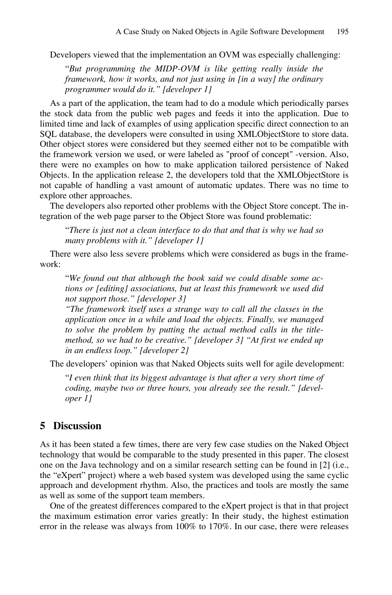Developers viewed that the implementation an OVM was especially challenging:

ì*But programming the MIDP-OVM is like getting really inside the framework, how it works, and not just using in [in a way] the ordinary programmer would do it.î [developer 1]*

As a part of the application, the team had to do a module which periodically parses the stock data from the public web pages and feeds it into the application. Due to limited time and lack of examples of using application specific direct connection to an SQL database, the developers were consulted in using XMLObjectStore to store data. Other object stores were considered but they seemed either not to be compatible with the framework version we used, or were labeled as "proof of concept" -version. Also, there were no examples on how to make application tailored persistence of Naked Objects. In the application release 2, the developers told that the XMLObjectStore is not capable of handling a vast amount of automatic updates. There was no time to explore other approaches.

The developers also reported other problems with the Object Store concept. The integration of the web page parser to the Object Store was found problematic:

ì*There is just not a clean interface to do that and that is why we had so many problems with it.*" [developer 1]

There were also less severe problems which were considered as bugs in the framework:

ì*We found out that although the book said we could disable some actions or [editing] associations, but at least this framework we used did not support those.*" [developer 3]

*ìThe framework itself uses a strange way to call all the classes in the application once in a while and load the objects. Finally, we managed to solve the problem by putting the actual method calls in the titlemethod, so we had to be creative." [developer 3] "At first we ended up in an endless loop.î [developer 2]* 

The developers' opinion was that Naked Objects suits well for agile development:

ì*I even think that its biggest advantage is that after a very short time of*  coding, maybe two or three hours, you already see the result." [devel*oper 1]*

## **5 Discussion**

As it has been stated a few times, there are very few case studies on the Naked Object technology that would be comparable to the study presented in this paper. The closest one on the Java technology and on a similar research setting can be found in [2] (i.e., the "eXpert" project) where a web based system was developed using the same cyclic approach and development rhythm. Also, the practices and tools are mostly the same as well as some of the support team members.

One of the greatest differences compared to the eXpert project is that in that project the maximum estimation error varies greatly: In their study, the highest estimation error in the release was always from 100% to 170%. In our case, there were releases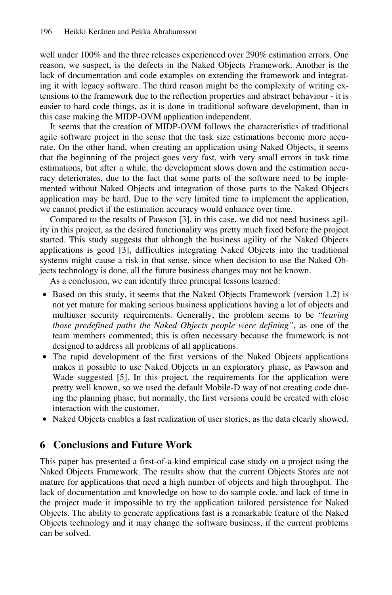well under 100% and the three releases experienced over 290% estimation errors. One reason, we suspect, is the defects in the Naked Objects Framework. Another is the lack of documentation and code examples on extending the framework and integrating it with legacy software. The third reason might be the complexity of writing extensions to the framework due to the reflection properties and abstract behaviour - it is easier to hard code things, as it is done in traditional software development, than in this case making the MIDP-OVM application independent.

It seems that the creation of MIDP-OVM follows the characteristics of traditional agile software project in the sense that the task size estimations become more accurate. On the other hand, when creating an application using Naked Objects, it seems that the beginning of the project goes very fast, with very small errors in task time estimations, but after a while, the development slows down and the estimation accuracy deteriorates, due to the fact that some parts of the software need to be implemented without Naked Objects and integration of those parts to the Naked Objects application may be hard. Due to the very limited time to implement the application, we cannot predict if the estimation accuracy would enhance over time.

Compared to the results of Pawson [3], in this case, we did not need business agility in this project, as the desired functionality was pretty much fixed before the project started. This study suggests that although the business agility of the Naked Objects applications is good [3], difficulties integrating Naked Objects into the traditional systems might cause a risk in that sense, since when decision to use the Naked Objects technology is done, all the future business changes may not be known.

As a conclusion, we can identify three principal lessons learned:

- Based on this study, it seems that the Naked Objects Framework (version 1.2) is not yet mature for making serious business applications having a lot of objects and multiuser security requirements. Generally, the problem seems to be "leaving *those predefined paths the Naked Objects people were defining*", as one of the team members commented; this is often necessary because the framework is not designed to address all problems of all applications.
- The rapid development of the first versions of the Naked Objects applications makes it possible to use Naked Objects in an exploratory phase, as Pawson and Wade suggested [5]. In this project, the requirements for the application were pretty well known, so we used the default Mobile-D way of not creating code during the planning phase, but normally, the first versions could be created with close interaction with the customer.
- Naked Objects enables a fast realization of user stories, as the data clearly showed.

## **6 Conclusions and Future Work**

This paper has presented a first-of-a-kind empirical case study on a project using the Naked Objects Framework. The results show that the current Objects Stores are not mature for applications that need a high number of objects and high throughput. The lack of documentation and knowledge on how to do sample code, and lack of time in the project made it impossible to try the application tailored persistence for Naked Objects. The ability to generate applications fast is a remarkable feature of the Naked Objects technology and it may change the software business, if the current problems can be solved.